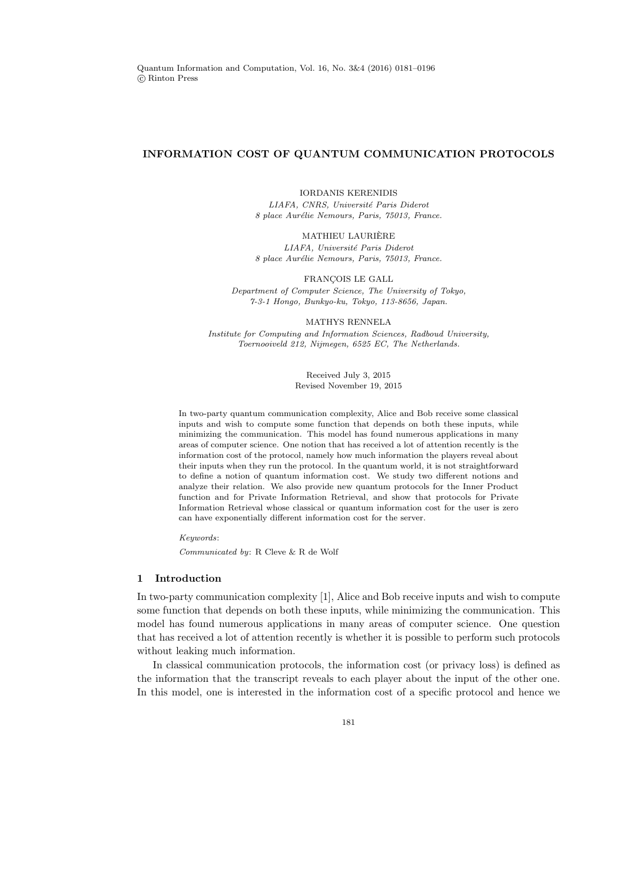## INFORMATION COST OF QUANTUM COMMUNICATION PROTOCOLS

IORDANIS KERENIDIS

LIAFA, CNRS, Université Paris Diderot 8 place Aurélie Nemours, Paris, 75013, France.

MATHIEU LAURIERE ` LIAFA, Université Paris Diderot 8 place Aurélie Nemours, Paris, 75013, France.

FRANÇOIS LE GALL Department of Computer Science, The University of Tokyo, 7-3-1 Hongo, Bunkyo-ku, Tokyo, 113-8656, Japan.

MATHYS RENNELA Institute for Computing and Information Sciences, Radboud University, Toernooiveld 212, Nijmegen, 6525 EC, The Netherlands.

> Received July 3, 2015 Revised November 19, 2015

In two-party quantum communication complexity, Alice and Bob receive some classical inputs and wish to compute some function that depends on both these inputs, while minimizing the communication. This model has found numerous applications in many areas of computer science. One notion that has received a lot of attention recently is the information cost of the protocol, namely how much information the players reveal about their inputs when they run the protocol. In the quantum world, it is not straightforward to define a notion of quantum information cost. We study two different notions and analyze their relation. We also provide new quantum protocols for the Inner Product function and for Private Information Retrieval, and show that protocols for Private Information Retrieval whose classical or quantum information cost for the user is zero can have exponentially different information cost for the server.

Keywords:

Communicated by: R Cleve & R de Wolf

#### 1 Introduction

In two-party communication complexity [1], Alice and Bob receive inputs and wish to compute some function that depends on both these inputs, while minimizing the communication. This model has found numerous applications in many areas of computer science. One question that has received a lot of attention recently is whether it is possible to perform such protocols without leaking much information.

In classical communication protocols, the information cost (or privacy loss) is defined as the information that the transcript reveals to each player about the input of the other one. In this model, one is interested in the information cost of a specific protocol and hence we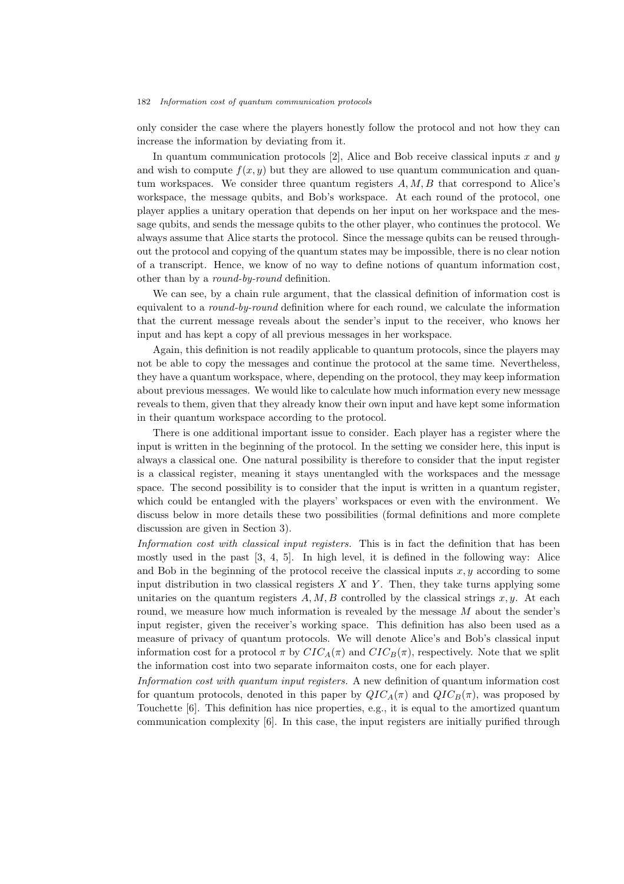only consider the case where the players honestly follow the protocol and not how they can increase the information by deviating from it.

In quantum communication protocols [2], Alice and Bob receive classical inputs x and  $\eta$ and wish to compute  $f(x, y)$  but they are allowed to use quantum communication and quantum workspaces. We consider three quantum registers  $A, M, B$  that correspond to Alice's workspace, the message qubits, and Bob's workspace. At each round of the protocol, one player applies a unitary operation that depends on her input on her workspace and the message qubits, and sends the message qubits to the other player, who continues the protocol. We always assume that Alice starts the protocol. Since the message qubits can be reused throughout the protocol and copying of the quantum states may be impossible, there is no clear notion of a transcript. Hence, we know of no way to define notions of quantum information cost, other than by a *round-by-round* definition.

We can see, by a chain rule argument, that the classical definition of information cost is equivalent to a *round-by-round* definition where for each round, we calculate the information that the current message reveals about the sender's input to the receiver, who knows her input and has kept a copy of all previous messages in her workspace.

Again, this definition is not readily applicable to quantum protocols, since the players may not be able to copy the messages and continue the protocol at the same time. Nevertheless, they have a quantum workspace, where, depending on the protocol, they may keep information about previous messages. We would like to calculate how much information every new message reveals to them, given that they already know their own input and have kept some information in their quantum workspace according to the protocol.

There is one additional important issue to consider. Each player has a register where the input is written in the beginning of the protocol. In the setting we consider here, this input is always a classical one. One natural possibility is therefore to consider that the input register is a classical register, meaning it stays unentangled with the workspaces and the message space. The second possibility is to consider that the input is written in a quantum register, which could be entangled with the players' workspaces or even with the environment. We discuss below in more details these two possibilities (formal definitions and more complete discussion are given in Section 3).

Information cost with classical input registers. This is in fact the definition that has been mostly used in the past [3, 4, 5]. In high level, it is defined in the following way: Alice and Bob in the beginning of the protocol receive the classical inputs  $x, y$  according to some input distribution in two classical registers  $X$  and  $Y$ . Then, they take turns applying some unitaries on the quantum registers  $A, M, B$  controlled by the classical strings x, y. At each round, we measure how much information is revealed by the message  $M$  about the sender's input register, given the receiver's working space. This definition has also been used as a measure of privacy of quantum protocols. We will denote Alice's and Bob's classical input information cost for a protocol  $\pi$  by  $CIC_A(\pi)$  and  $CIC_B(\pi)$ , respectively. Note that we split the information cost into two separate informaiton costs, one for each player.

Information cost with quantum input registers. A new definition of quantum information cost for quantum protocols, denoted in this paper by  $QIC_A(\pi)$  and  $QIC_B(\pi)$ , was proposed by Touchette [6]. This definition has nice properties, e.g., it is equal to the amortized quantum communication complexity [6]. In this case, the input registers are initially purified through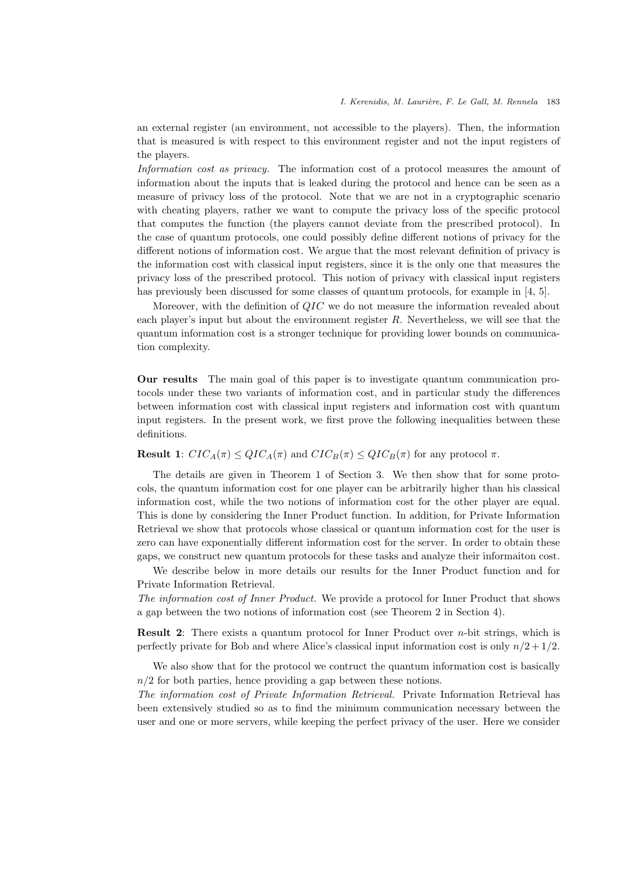an external register (an environment, not accessible to the players). Then, the information that is measured is with respect to this environment register and not the input registers of the players.

Information cost as privacy. The information cost of a protocol measures the amount of information about the inputs that is leaked during the protocol and hence can be seen as a measure of privacy loss of the protocol. Note that we are not in a cryptographic scenario with cheating players, rather we want to compute the privacy loss of the specific protocol that computes the function (the players cannot deviate from the prescribed protocol). In the case of quantum protocols, one could possibly define different notions of privacy for the different notions of information cost. We argue that the most relevant definition of privacy is the information cost with classical input registers, since it is the only one that measures the privacy loss of the prescribed protocol. This notion of privacy with classical input registers has previously been discussed for some classes of quantum protocols, for example in [4, 5].

Moreover, with the definition of QIC we do not measure the information revealed about each player's input but about the environment register  $R$ . Nevertheless, we will see that the quantum information cost is a stronger technique for providing lower bounds on communication complexity.

Our results The main goal of this paper is to investigate quantum communication protocols under these two variants of information cost, and in particular study the differences between information cost with classical input registers and information cost with quantum input registers. In the present work, we first prove the following inequalities between these definitions.

**Result 1:**  $CIC_A(\pi) \leq QIC_A(\pi)$  and  $CIC_B(\pi) \leq QIC_B(\pi)$  for any protocol  $\pi$ .

The details are given in Theorem 1 of Section 3. We then show that for some protocols, the quantum information cost for one player can be arbitrarily higher than his classical information cost, while the two notions of information cost for the other player are equal. This is done by considering the Inner Product function. In addition, for Private Information Retrieval we show that protocols whose classical or quantum information cost for the user is zero can have exponentially different information cost for the server. In order to obtain these gaps, we construct new quantum protocols for these tasks and analyze their informaiton cost.

We describe below in more details our results for the Inner Product function and for Private Information Retrieval.

The information cost of Inner Product. We provide a protocol for Inner Product that shows a gap between the two notions of information cost (see Theorem 2 in Section 4).

**Result 2:** There exists a quantum protocol for Inner Product over  $n$ -bit strings, which is perfectly private for Bob and where Alice's classical input information cost is only  $n/2 + 1/2$ .

We also show that for the protocol we contruct the quantum information cost is basically  $n/2$  for both parties, hence providing a gap between these notions.

The information cost of Private Information Retrieval. Private Information Retrieval has been extensively studied so as to find the minimum communication necessary between the user and one or more servers, while keeping the perfect privacy of the user. Here we consider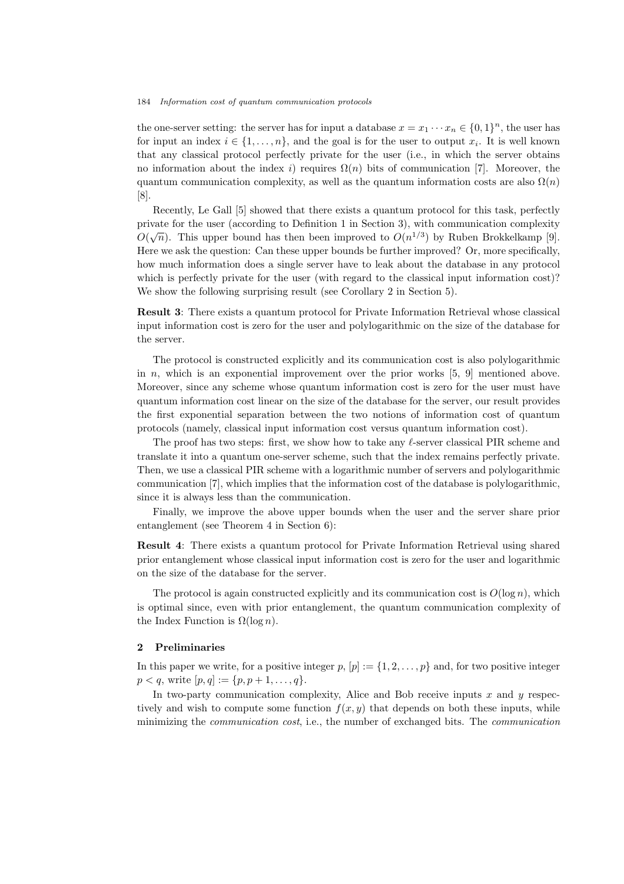the one-server setting: the server has for input a database  $x = x_1 \cdots x_n \in \{0,1\}^n$ , the user has for input an index  $i \in \{1, \ldots, n\}$ , and the goal is for the user to output  $x_i$ . It is well known that any classical protocol perfectly private for the user (i.e., in which the server obtains no information about the index i) requires  $\Omega(n)$  bits of communication [7]. Moreover, the quantum communication complexity, as well as the quantum information costs are also  $\Omega(n)$ [8].

Recently, Le Gall [5] showed that there exists a quantum protocol for this task, perfectly private for the user (according to Definition 1 in Section 3), with communication complexity  $O(\sqrt{n})$ . This upper bound has then been improved to  $O(n^{1/3})$  by Ruben Brokkelkamp [9]. Here we ask the question: Can these upper bounds be further improved? Or, more specifically, how much information does a single server have to leak about the database in any protocol which is perfectly private for the user (with regard to the classical input information cost)? We show the following surprising result (see Corollary 2 in Section 5).

Result 3: There exists a quantum protocol for Private Information Retrieval whose classical input information cost is zero for the user and polylogarithmic on the size of the database for the server.

The protocol is constructed explicitly and its communication cost is also polylogarithmic in n, which is an exponential improvement over the prior works  $[5, 9]$  mentioned above. Moreover, since any scheme whose quantum information cost is zero for the user must have quantum information cost linear on the size of the database for the server, our result provides the first exponential separation between the two notions of information cost of quantum protocols (namely, classical input information cost versus quantum information cost).

The proof has two steps: first, we show how to take any ℓ-server classical PIR scheme and translate it into a quantum one-server scheme, such that the index remains perfectly private. Then, we use a classical PIR scheme with a logarithmic number of servers and polylogarithmic communication [7], which implies that the information cost of the database is polylogarithmic, since it is always less than the communication.

Finally, we improve the above upper bounds when the user and the server share prior entanglement (see Theorem 4 in Section 6):

Result 4: There exists a quantum protocol for Private Information Retrieval using shared prior entanglement whose classical input information cost is zero for the user and logarithmic on the size of the database for the server.

The protocol is again constructed explicitly and its communication cost is  $O(\log n)$ , which is optimal since, even with prior entanglement, the quantum communication complexity of the Index Function is  $\Omega(\log n)$ .

## 2 Preliminaries

In this paper we write, for a positive integer  $p$ ,  $[p] := \{1, 2, \ldots, p\}$  and, for two positive integer  $p < q$ , write  $[p, q] := \{p, p + 1, \ldots, q\}.$ 

In two-party communication complexity, Alice and Bob receive inputs  $x$  and  $y$  respectively and wish to compute some function  $f(x, y)$  that depends on both these inputs, while minimizing the *communication cost*, i.e., the number of exchanged bits. The *communication*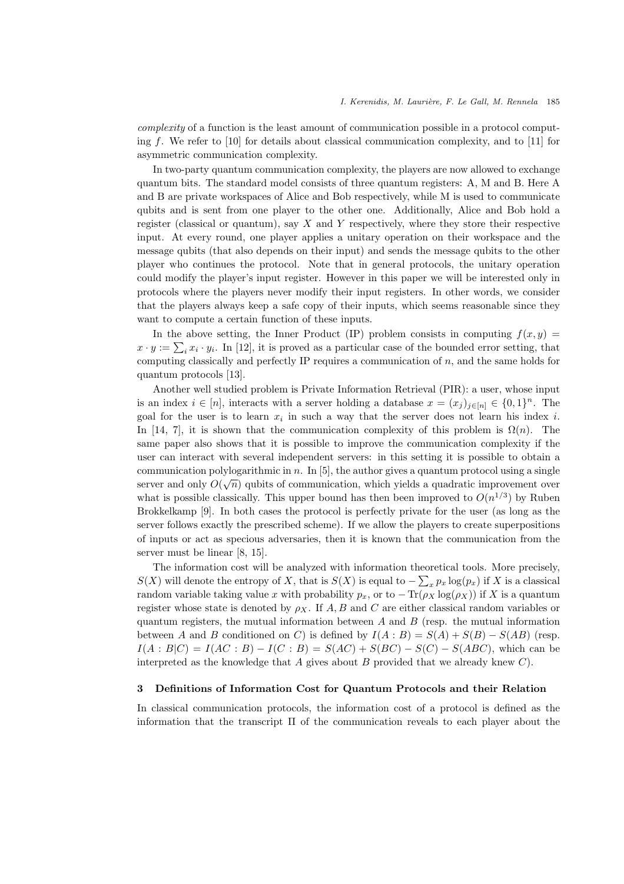complexity of a function is the least amount of communication possible in a protocol computing f. We refer to [10] for details about classical communication complexity, and to [11] for asymmetric communication complexity.

In two-party quantum communication complexity, the players are now allowed to exchange quantum bits. The standard model consists of three quantum registers: A, M and B. Here A and B are private workspaces of Alice and Bob respectively, while M is used to communicate qubits and is sent from one player to the other one. Additionally, Alice and Bob hold a register (classical or quantum), say  $X$  and  $Y$  respectively, where they store their respective input. At every round, one player applies a unitary operation on their workspace and the message qubits (that also depends on their input) and sends the message qubits to the other player who continues the protocol. Note that in general protocols, the unitary operation could modify the player's input register. However in this paper we will be interested only in protocols where the players never modify their input registers. In other words, we consider that the players always keep a safe copy of their inputs, which seems reasonable since they want to compute a certain function of these inputs.

In the above setting, the Inner Product (IP) problem consists in computing  $f(x, y) =$  $x \cdot y := \sum_i x_i \cdot y_i$ . In [12], it is proved as a particular case of the bounded error setting, that computing classically and perfectly IP requires a communication of n, and the same holds for quantum protocols [13].

Another well studied problem is Private Information Retrieval (PIR): a user, whose input is an index  $i \in [n]$ , interacts with a server holding a database  $x = (x_j)_{j \in [n]} \in \{0,1\}^n$ . The goal for the user is to learn  $x_i$  in such a way that the server does not learn his index i. In [14, 7], it is shown that the communication complexity of this problem is  $\Omega(n)$ . The same paper also shows that it is possible to improve the communication complexity if the user can interact with several independent servers: in this setting it is possible to obtain a communication polylogarithmic in n. In [5], the author gives a quantum protocol using a single server and only  $O(\sqrt{n})$  qubits of communication, which yields a quadratic improvement over what is possible classically. This upper bound has then been improved to  $O(n^{1/3})$  by Ruben Brokkelkamp [9]. In both cases the protocol is perfectly private for the user (as long as the server follows exactly the prescribed scheme). If we allow the players to create superpositions of inputs or act as specious adversaries, then it is known that the communication from the server must be linear [8, 15].

The information cost will be analyzed with information theoretical tools. More precisely,  $S(X)$  will denote the entropy of X, that is  $S(X)$  is equal to  $-\sum_{x} p_x \log(p_x)$  if X is a classical random variable taking value x with probability  $p_x$ , or to  $-\text{Tr}(\rho_X \log(\rho_X))$  if X is a quantum register whose state is denoted by  $\rho_X$ . If A, B and C are either classical random variables or quantum registers, the mutual information between  $A$  and  $B$  (resp. the mutual information between A and B conditioned on C) is defined by  $I(A : B) = S(A) + S(B) - S(AB)$  (resp.  $I(A : B|C) = I(AC : B) - I(C : B) = S(AC) + S(BC) - S(C) - S(ABC)$ , which can be interpreted as the knowledge that  $A$  gives about  $B$  provided that we already knew  $C$ .

#### 3 Definitions of Information Cost for Quantum Protocols and their Relation

In classical communication protocols, the information cost of a protocol is defined as the information that the transcript  $\Pi$  of the communication reveals to each player about the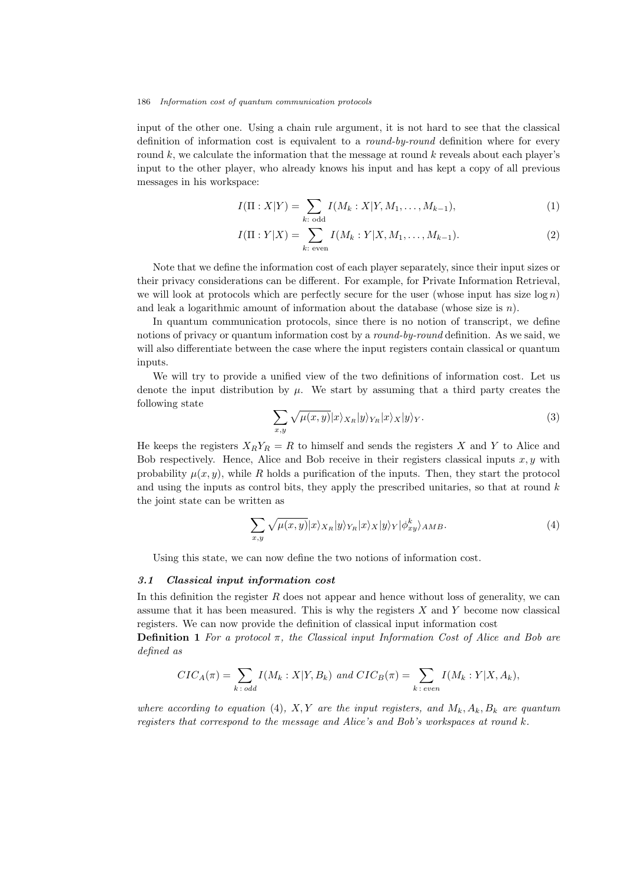input of the other one. Using a chain rule argument, it is not hard to see that the classical definition of information cost is equivalent to a *round-by-round* definition where for every round  $k$ , we calculate the information that the message at round  $k$  reveals about each player's input to the other player, who already knows his input and has kept a copy of all previous messages in his workspace:

$$
I(\Pi : X|Y) = \sum_{k:\text{ odd}} I(M_k : X|Y, M_1, \dots, M_{k-1}),
$$
\n(1)

$$
I(\Pi : Y|X) = \sum_{k:\text{ even}} I(M_k : Y|X, M_1, \dots, M_{k-1}).
$$
\n(2)

Note that we define the information cost of each player separately, since their input sizes or their privacy considerations can be different. For example, for Private Information Retrieval, we will look at protocols which are perfectly secure for the user (whose input has size  $\log n$ ) and leak a logarithmic amount of information about the database (whose size is  $n$ ).

In quantum communication protocols, since there is no notion of transcript, we define notions of privacy or quantum information cost by a *round-by-round* definition. As we said, we will also differentiate between the case where the input registers contain classical or quantum inputs.

We will try to provide a unified view of the two definitions of information cost. Let us denote the input distribution by  $\mu$ . We start by assuming that a third party creates the following state

$$
\sum_{x,y} \sqrt{\mu(x,y)} |x\rangle_{X_R} |y\rangle_{Y_R} |x\rangle_X |y\rangle_Y. \tag{3}
$$

He keeps the registers  $X_R Y_R = R$  to himself and sends the registers X and Y to Alice and Bob respectively. Hence, Alice and Bob receive in their registers classical inputs  $x, y$  with probability  $\mu(x, y)$ , while R holds a purification of the inputs. Then, they start the protocol and using the inputs as control bits, they apply the prescribed unitaries, so that at round  $k$ the joint state can be written as

$$
\sum_{x,y} \sqrt{\mu(x,y)} |x\rangle_{X_R} |y\rangle_{Y_R} |x\rangle_X |y\rangle_Y |\phi^k_{xy}\rangle_{AMB}.\tag{4}
$$

Using this state, we can now define the two notions of information cost.

## 3.1 Classical input information cost

In this definition the register  $R$  does not appear and hence without loss of generality, we can assume that it has been measured. This is why the registers  $X$  and  $Y$  become now classical registers. We can now provide the definition of classical input information cost

**Definition 1** For a protocol  $\pi$ , the Classical input Information Cost of Alice and Bob are defined as

$$
CIC_A(\pi) = \sum_{k \text{ : odd}} I(M_k : X | Y, B_k) \text{ and } CIC_B(\pi) = \sum_{k \text{ : even}} I(M_k : Y | X, A_k),
$$

where according to equation (4), X, Y are the input registers, and  $M_k$ ,  $A_k$ ,  $B_k$  are quantum registers that correspond to the message and Alice's and Bob's workspaces at round k.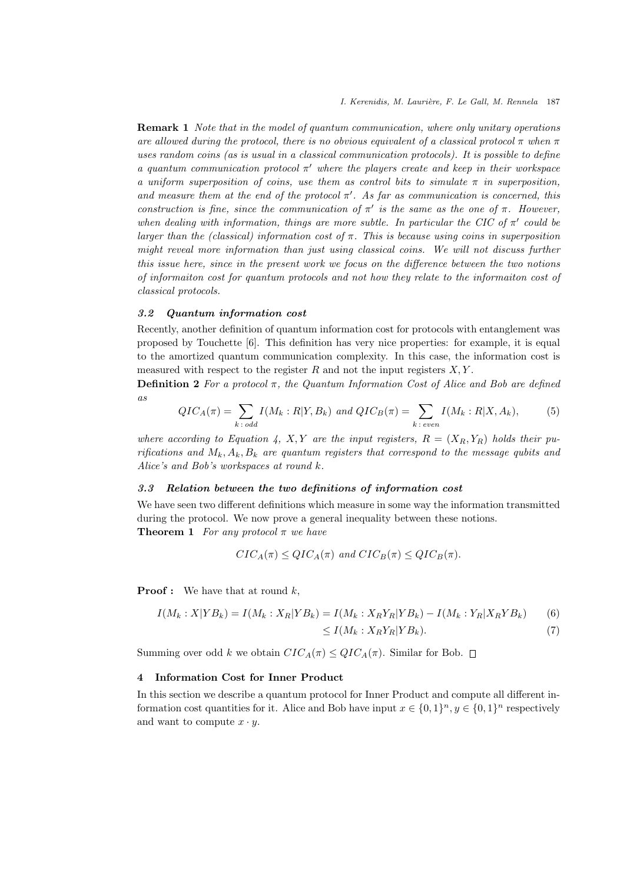**Remark 1** Note that in the model of quantum communication, where only unitary operations are allowed during the protocol, there is no obvious equivalent of a classical protocol  $\pi$  when  $\pi$ uses random coins (as is usual in a classical communication protocols). It is possible to define a quantum communication protocol  $\pi'$  where the players create and keep in their workspace a uniform superposition of coins, use them as control bits to simulate  $\pi$  in superposition, and measure them at the end of the protocol  $\pi'$ . As far as communication is concerned, this construction is fine, since the communication of  $\pi'$  is the same as the one of  $\pi$ . However, when dealing with information, things are more subtle. In particular the CIC of  $\pi'$  could be larger than the (classical) information cost of  $\pi$ . This is because using coins in superposition might reveal more information than just using classical coins. We will not discuss further this issue here, since in the present work we focus on the difference between the two notions of informaiton cost for quantum protocols and not how they relate to the informaiton cost of classical protocols.

## 3.2 Quantum information cost

Recently, another definition of quantum information cost for protocols with entanglement was proposed by Touchette [6]. This definition has very nice properties: for example, it is equal to the amortized quantum communication complexity. In this case, the information cost is measured with respect to the register  $R$  and not the input registers  $X, Y$ .

**Definition 2** For a protocol  $\pi$ , the Quantum Information Cost of Alice and Bob are defined as

$$
QIC_A(\pi) = \sum_{k \text{ : odd}} I(M_k : R | Y, B_k) \text{ and } QIC_B(\pi) = \sum_{k \text{ : even}} I(M_k : R | X, A_k), \tag{5}
$$

where according to Equation 4, X, Y are the input registers,  $R = (X_R, Y_R)$  holds their purifications and  $M_k$ ,  $A_k$ ,  $B_k$  are quantum registers that correspond to the message qubits and Alice's and Bob's workspaces at round k.

#### 3.3 Relation between the two definitions of information cost

We have seen two different definitions which measure in some way the information transmitted during the protocol. We now prove a general inequality between these notions. **Theorem 1** For any protocol  $\pi$  we have

$$
CIC_A(\pi) \le QIC_A(\pi) \text{ and } CIC_B(\pi) \le QIC_B(\pi).
$$

**Proof :** We have that at round  $k$ ,

$$
I(M_k : X | Y B_k) = I(M_k : X_R | Y B_k) = I(M_k : X_R Y_R | Y B_k) - I(M_k : Y_R | X_R Y B_k)
$$
(6)  

$$
\leq I(M_k : X_R Y_R | Y B_k).
$$
(7)

Summing over odd k we obtain  $CIC_A(\pi) \leq QIC_A(\pi)$ . Similar for Bob.  $\Box$ 

#### 4 Information Cost for Inner Product

In this section we describe a quantum protocol for Inner Product and compute all different information cost quantities for it. Alice and Bob have input  $x \in \{0,1\}^n$ ,  $y \in \{0,1\}^n$  respectively and want to compute  $x \cdot y$ .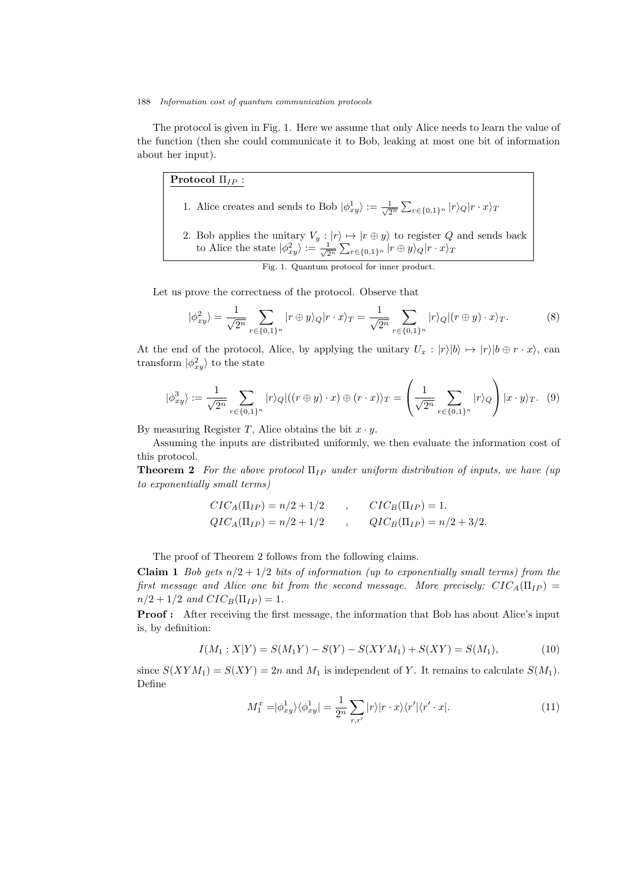The protocol is given in Fig. 1. Here we assume that only Alice needs to learn the value of the function (then she could communicate it to Bob, leaking at most one bit of information about her input).

# Protocol  $\Pi_{IP}$ :

- 1. Alice creates and sends to Bob  $|\phi_{xy}^1\rangle := \frac{1}{\sqrt{2^n}} \sum_{r \in \{0,1\}^n} |r\rangle_Q |r \cdot x\rangle_T$
- 2. Bob applies the unitary  $V_y : |r\rangle \mapsto |r \oplus y\rangle$  to register Q and sends back to Alice the state  $|\phi_{xy}^2\rangle := \frac{1}{\sqrt{2^n}} \sum_{r \in \{0,1\}^n} |r \oplus y\rangle_Q |r \cdot x\rangle_T$

Fig. 1. Quantum protocol for inner product.

Let us prove the correctness of the protocol. Observe that

$$
|\phi_{xy}^2\rangle = \frac{1}{\sqrt{2^n}} \sum_{r \in \{0,1\}^n} |r \oplus y\rangle_Q |r \cdot x\rangle_T = \frac{1}{\sqrt{2^n}} \sum_{r \in \{0,1\}^n} |r\rangle_Q |(r \oplus y) \cdot x\rangle_T. \tag{8}
$$

At the end of the protocol, Alice, by applying the unitary  $U_x : |r\rangle |b\rangle \mapsto |r\rangle |b \oplus r \cdot x\rangle$ , can transform  $|\phi_{xy}^2\rangle$  to the state

$$
|\phi_{xy}^3\rangle := \frac{1}{\sqrt{2^n}} \sum_{r \in \{0,1\}^n} |r\rangle_Q |((r \oplus y) \cdot x) \oplus (r \cdot x) \rangle_T = \left(\frac{1}{\sqrt{2^n}} \sum_{r \in \{0,1\}^n} |r\rangle_Q\right) |x \cdot y\rangle_T. \tag{9}
$$

By measuring Register T, Alice obtains the bit  $x \cdot y$ .

Assuming the inputs are distributed uniformly, we then evaluate the information cost of this protocol.

**Theorem 2** For the above protocol  $\Pi_{IP}$  under uniform distribution of inputs, we have (up to exponentially small terms)

$$
CIC_A(\Pi_{IP}) = n/2 + 1/2 \qquad , \qquad CIC_B(\Pi_{IP}) = 1.
$$
  
\n
$$
QIC_A(\Pi_{IP}) = n/2 + 1/2 \qquad , \qquad QIC_B(\Pi_{IP}) = n/2 + 3/2.
$$

The proof of Theorem 2 follows from the following claims.

Claim 1 Bob gets  $n/2 + 1/2$  bits of information (up to exponentially small terms) from the first message and Alice one bit from the second message. More precisely:  $CIC_A(\Pi_{IP}) =$  $n/2 + 1/2$  and  $CIC_B(\Pi_{IP}) = 1$ .

Proof : After receiving the first message, the information that Bob has about Alice's input is, by definition:

$$
I(M_1: X|Y) = S(M_1Y) - S(Y) - S(XYM_1) + S(XY) = S(M_1),
$$
\n(10)

since  $S(XYM_1) = S(XY) = 2n$  and  $M_1$  is independent of Y. It remains to calculate  $S(M_1)$ . Define

$$
M_1^x = |\phi_{xy}^1\rangle\langle\phi_{xy}^1| = \frac{1}{2^n} \sum_{r,r'} |r\rangle|r\cdot x\rangle\langle r'|\langle r'\cdot x|.\tag{11}
$$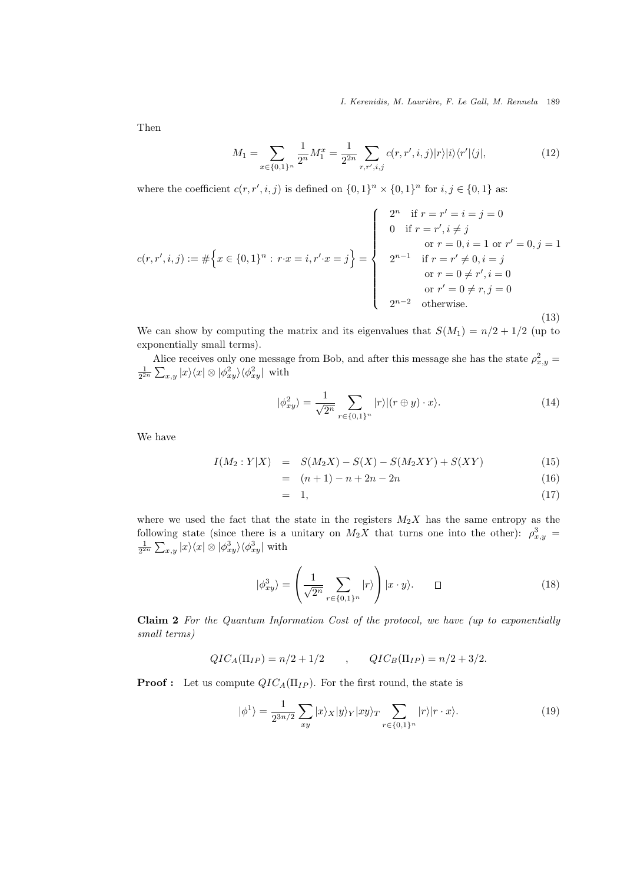I. Kerenidis, M. Laurière, F. Le Gall, M. Rennela 189

Then

$$
M_1 = \sum_{x \in \{0,1\}^n} \frac{1}{2^n} M_1^x = \frac{1}{2^{2n}} \sum_{r,r',i,j} c(r,r',i,j) |r\rangle |i\rangle \langle r'| \langle j|,
$$
 (12)

where the coefficient  $c(r, r', i, j)$  is defined on  $\{0, 1\}^n \times \{0, 1\}^n$  for  $i, j \in \{0, 1\}$  as:

$$
c(r,r',i,j) := #\left\{x \in \{0,1\}^n : r \cdot x = i, r' \cdot x = j\right\} = \begin{cases} 2^n & \text{if } r = r' = i = j = 0 \\ 0 & \text{if } r = r', i \neq j \\ & \text{or } r = 0, i = 1 \text{ or } r' = 0, j = 1 \\ 2^{n-1} & \text{if } r = r' \neq 0, i = j \\ & \text{or } r = 0 \neq r', i = 0 \\ & \text{or } r' = 0 \neq r, j = 0 \\ 2^{n-2} & \text{otherwise.} \end{cases}
$$
(13)

We can show by computing the matrix and its eigenvalues that  $S(M_1) = n/2 + 1/2$  (up to exponentially small terms).

Alice receives only one message from Bob, and after this message she has the state  $\rho_{x,y}^2 = \frac{1}{2^{2n}} \sum_{x,y} |x\rangle\langle x| \otimes |\phi_{xy}^2\rangle\langle\phi_{xy}^2|$  with

$$
|\phi_{xy}^2\rangle = \frac{1}{\sqrt{2^n}} \sum_{r \in \{0,1\}^n} |r\rangle |(r \oplus y) \cdot x\rangle. \tag{14}
$$

We have

$$
I(M_2:Y|X) = S(M_2X) - S(X) - S(M_2XY) + S(XY)
$$
\n(15)

$$
= (n+1) - n + 2n - 2n \tag{16}
$$

$$
= 1, \t(17)
$$

where we used the fact that the state in the registers  $M_2X$  has the same entropy as the following state (since there is a unitary on  $M_2X$  that turns one into the other):  $\rho_{x,y}^3$  =  $\frac{1}{2^{2n}}\sum_{x,y}|x\rangle\langle x|\otimes|\phi_{xy}^3\rangle\langle\phi_{xy}^3|$  with

$$
|\phi_{xy}^3\rangle = \left(\frac{1}{\sqrt{2^n}} \sum_{r \in \{0,1\}^n} |r\rangle\right) |x \cdot y\rangle. \qquad \Box \tag{18}
$$

Claim 2 For the Quantum Information Cost of the protocol, we have (up to exponentially small terms)

$$
QIC_A(\Pi_{IP}) = n/2 + 1/2 \qquad , \qquad QIC_B(\Pi_{IP}) = n/2 + 3/2.
$$

**Proof :** Let us compute  $QIC_A(\Pi_{IP})$ . For the first round, the state is

$$
|\phi^1\rangle = \frac{1}{2^{3n/2}} \sum_{xy} |x\rangle_X |y\rangle_Y |xy\rangle_T \sum_{r \in \{0,1\}^n} |r\rangle |r \cdot x\rangle. \tag{19}
$$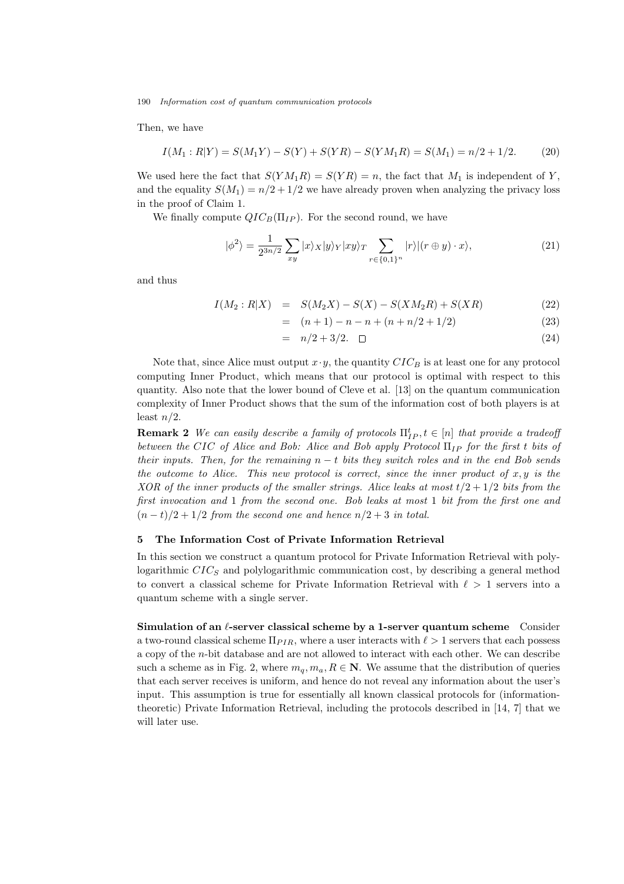Then, we have

$$
I(M_1:R|Y) = S(M_1Y) - S(Y) + S(YR) - S(YM_1R) = S(M_1) = n/2 + 1/2.
$$
 (20)

We used here the fact that  $S(YM_1R) = S(YR) = n$ , the fact that  $M_1$  is independent of Y, and the equality  $S(M_1) = n/2 + 1/2$  we have already proven when analyzing the privacy loss in the proof of Claim 1.

We finally compute  $QIC_B(\Pi_{IP})$ . For the second round, we have

$$
|\phi^2\rangle = \frac{1}{2^{3n/2}} \sum_{xy} |x\rangle_X |y\rangle_Y |xy\rangle_T \sum_{r \in \{0,1\}^n} |r\rangle | (r \oplus y) \cdot x\rangle, \tag{21}
$$

and thus

$$
I(M_2:R|X) = S(M_2X) - S(X) - S(XM_2R) + S(XR)
$$
\n(22)

$$
= (n+1) - n - n + (n + n/2 + 1/2)
$$
\n(23)

$$
= n/2 + 3/2. \quad \Box \tag{24}
$$

Note that, since Alice must output  $x \cdot y$ , the quantity  $CIC_B$  is at least one for any protocol computing Inner Product, which means that our protocol is optimal with respect to this quantity. Also note that the lower bound of Cleve et al. [13] on the quantum communication complexity of Inner Product shows that the sum of the information cost of both players is at least  $n/2$ .

**Remark 2** We can easily describe a family of protocols  $\Pi_{IP}^t, t \in [n]$  that provide a tradeoff between the CIC of Alice and Bob: Alice and Bob apply Protocol  $\Pi_{IP}$  for the first t bits of their inputs. Then, for the remaining  $n - t$  bits they switch roles and in the end Bob sends the outcome to Alice. This new protocol is correct, since the inner product of  $x, y$  is the XOR of the inner products of the smaller strings. Alice leaks at most  $t/2 + 1/2$  bits from the first invocation and 1 from the second one. Bob leaks at most 1 bit from the first one and  $(n-t)/2+1/2$  from the second one and hence  $n/2+3$  in total.

## 5 The Information Cost of Private Information Retrieval

In this section we construct a quantum protocol for Private Information Retrieval with polylogarithmic  $CIC_S$  and polylogarithmic communication cost, by describing a general method to convert a classical scheme for Private Information Retrieval with  $\ell > 1$  servers into a quantum scheme with a single server.

Simulation of an  $\ell$ -server classical scheme by a 1-server quantum scheme Consider a two-round classical scheme  $\Pi_{PIR}$ , where a user interacts with  $\ell > 1$  servers that each possess a copy of the n-bit database and are not allowed to interact with each other. We can describe such a scheme as in Fig. 2, where  $m_q, m_a, R \in \mathbb{N}$ . We assume that the distribution of queries that each server receives is uniform, and hence do not reveal any information about the user's input. This assumption is true for essentially all known classical protocols for (informationtheoretic) Private Information Retrieval, including the protocols described in [14, 7] that we will later use.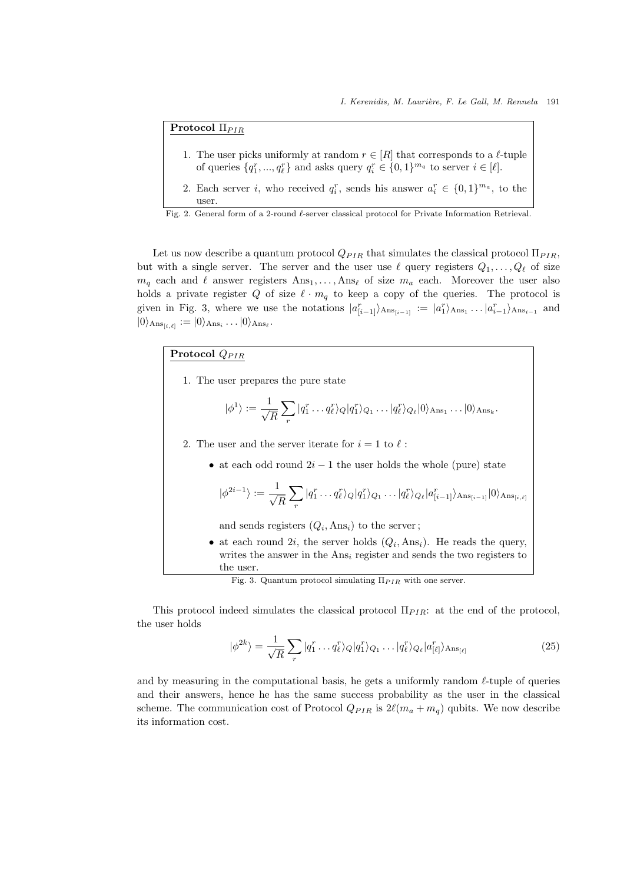# Protocol Π<sub>PIR</sub>

- 1. The user picks uniformly at random  $r \in [R]$  that corresponds to a  $\ell$ -tuple of queries  $\{q_1^r, ..., q_\ell^r\}$  and asks query  $q_i^r \in \{0, 1\}^{m_q}$  to server  $i \in [\ell]$ .
- 2. Each server *i*, who received  $q_i^r$ , sends his answer  $a_i^r \in \{0,1\}^{m_a}$ , to the

```
Fig. 2. General form of a 2-round ℓ-server classical protocol for Private Information Retrieval.
```
Let us now describe a quantum protocol  $Q_{PIR}$  that simulates the classical protocol  $\Pi_{PIR}$ , but with a single server. The server and the user use  $\ell$  query registers  $Q_1, \ldots, Q_\ell$  of size  $m_q$  each and  $\ell$  answer registers  $Ans_1, \ldots, Ans_\ell$  of size  $m_q$  each. Moreover the user also holds a private register Q of size  $\ell \cdot m_q$  to keep a copy of the queries. The protocol is given in Fig. 3, where we use the notations  $|a_{[i-1]}^r\rangle_{\text{Ans}_{i-1}} := |a_{1}^r\rangle_{\text{Ans}_{i}} \dots |a_{i-1}^r\rangle_{\text{Ans}_{i-1}}$  and  $|0\rangle_{\text{Ans}_{[i,\ell]}} := |0\rangle_{\text{Ans}_i} \dots |0\rangle_{\text{Ans}_\ell}.$ 

# Protocol  $Q_{PIR}$

1. The user prepares the pure state

$$
|\phi^1\rangle := \frac{1}{\sqrt{R}} \sum_r |q_1^r \dots q_\ell^r\rangle_Q |q_1^r\rangle_{Q_1} \dots |q_\ell^r\rangle_{Q_\ell} |0\rangle_{\text{Ans}_1} \dots |0\rangle_{\text{Ans}_k}.
$$

2. The user and the server iterate for  $i = 1$  to  $\ell$ :

• at each odd round  $2i - 1$  the user holds the whole (pure) state

$$
|\phi^{2i-1}\rangle := \frac{1}{\sqrt{R}} \sum_{r} |q_1^r \dots q_\ell^r\rangle_Q |q_1^r\rangle_{Q_1} \dots |q_\ell^r\rangle_{Q_\ell} |a_{[i-1]}^r\rangle_{\text{Ans}_{[i-1]}} |0\rangle_{\text{Ans}_{[i,\ell]}}
$$

and sends registers  $(Q_i, \text{Ans}_i)$  to the server;

• at each round 2*i*, the server holds  $(Q_i, \text{Ans}_i)$ . He reads the query, writes the answer in the  $Ans_i$  register and sends the two registers to the user.

This protocol indeed simulates the classical protocol  $\Pi_{PIR}$ : at the end of the protocol, the user holds

$$
|\phi^{2k}\rangle = \frac{1}{\sqrt{R}} \sum_{r} |q_1^r \dots q_\ell^r\rangle_Q |q_1^r\rangle_{Q_1} \dots |q_\ell^r\rangle_{Q_\ell} |a_{[\ell]}^r\rangle_{\text{Ans}_{[\ell]}} \tag{25}
$$

and by measuring in the computational basis, he gets a uniformly random  $\ell$ -tuple of queries and their answers, hence he has the same success probability as the user in the classical scheme. The communication cost of Protocol  $Q_{PIR}$  is  $2\ell(m_a + m_q)$  qubits. We now describe its information cost.

user.

Fig. 3. Quantum protocol simulating  $\Pi_{PIR}$  with one server.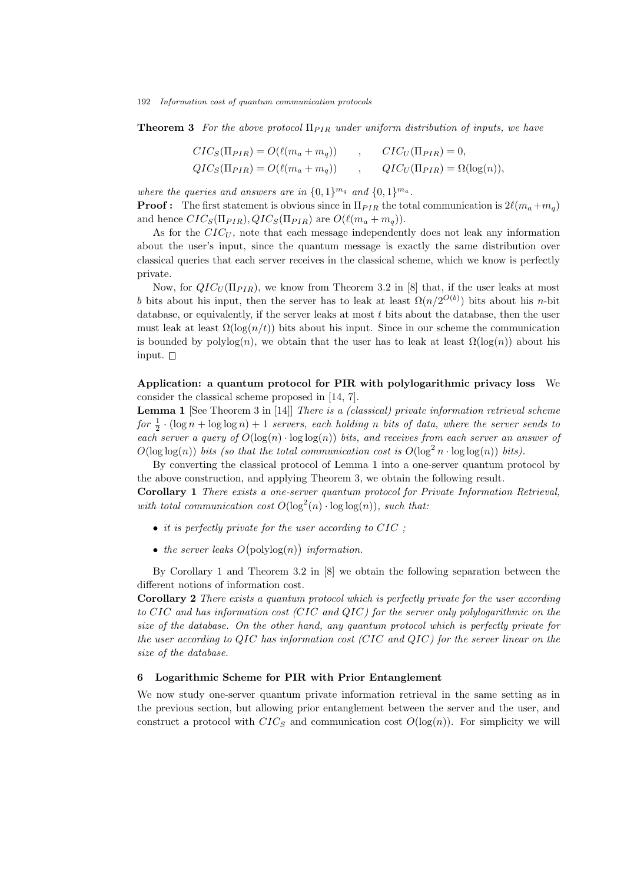**Theorem 3** For the above protocol  $\Pi_{PIR}$  under uniform distribution of inputs, we have

$$
CIC_S(\Pi_{PIR}) = O(\ell(m_a + m_q)) , \qquad CIC_U(\Pi_{PIR}) = 0,
$$
  
\n
$$
QIC_S(\Pi_{PIR}) = O(\ell(m_a + m_q)) , \qquad QIC_U(\Pi_{PIR}) = \Omega(\log(n)),
$$

where the queries and answers are in  $\{0,1\}^{m_q}$  and  $\{0,1\}^{m_q}$ .

**Proof :** The first statement is obvious since in  $\Pi_{PIR}$  the total communication is  $2\ell(m_a+m_a)$ and hence  $CIC_S(\Pi_{PIR}), QIC_S(\Pi_{PIR})$  are  $O(\ell(m_a + m_q)).$ 

As for the  $CIC_U$ , note that each message independently does not leak any information about the user's input, since the quantum message is exactly the same distribution over classical queries that each server receives in the classical scheme, which we know is perfectly private.

Now, for  $QIC_U(\Pi_{PIR})$ , we know from Theorem 3.2 in [8] that, if the user leaks at most b bits about his input, then the server has to leak at least  $\Omega(n/2^{O(b)})$  bits about his n-bit database, or equivalently, if the server leaks at most  $t$  bits about the database, then the user must leak at least  $\Omega(\log(n/t))$  bits about his input. Since in our scheme the communication is bounded by polylog(n), we obtain that the user has to leak at least  $\Omega(\log(n))$  about his input.

# Application: a quantum protocol for PIR with polylogarithmic privacy loss We consider the classical scheme proposed in [14, 7].

Lemma 1 [See Theorem 3 in [14]] There is a (classical) private information retrieval scheme for  $\frac{1}{2} \cdot (\log n + \log \log n) + 1$  servers, each holding n bits of data, where the server sends to each server a query of  $O(\log(n) \cdot \log \log(n))$  bits, and receives from each server an answer of  $O(\log \log(n))$  bits (so that the total communication cost is  $O(\log^2 n \cdot \log \log(n))$  bits).

By converting the classical protocol of Lemma 1 into a one-server quantum protocol by the above construction, and applying Theorem 3, we obtain the following result.

Corollary 1 There exists a one-server quantum protocol for Private Information Retrieval, with total communication cost  $O(\log^2(n) \cdot \log \log(n))$ , such that:

- it is perfectly private for the user according to CIC;
- the server leaks  $O(polylog(n))$  information.

By Corollary 1 and Theorem 3.2 in [8] we obtain the following separation between the different notions of information cost.

Corollary 2 There exists a quantum protocol which is perfectly private for the user according to CIC and has information cost (CIC and QIC) for the server only polylogarithmic on the size of the database. On the other hand, any quantum protocol which is perfectly private for the user according to QIC has information cost (CIC and QIC) for the server linear on the size of the database.

### 6 Logarithmic Scheme for PIR with Prior Entanglement

We now study one-server quantum private information retrieval in the same setting as in the previous section, but allowing prior entanglement between the server and the user, and construct a protocol with  $CIC_S$  and communication cost  $O(log(n))$ . For simplicity we will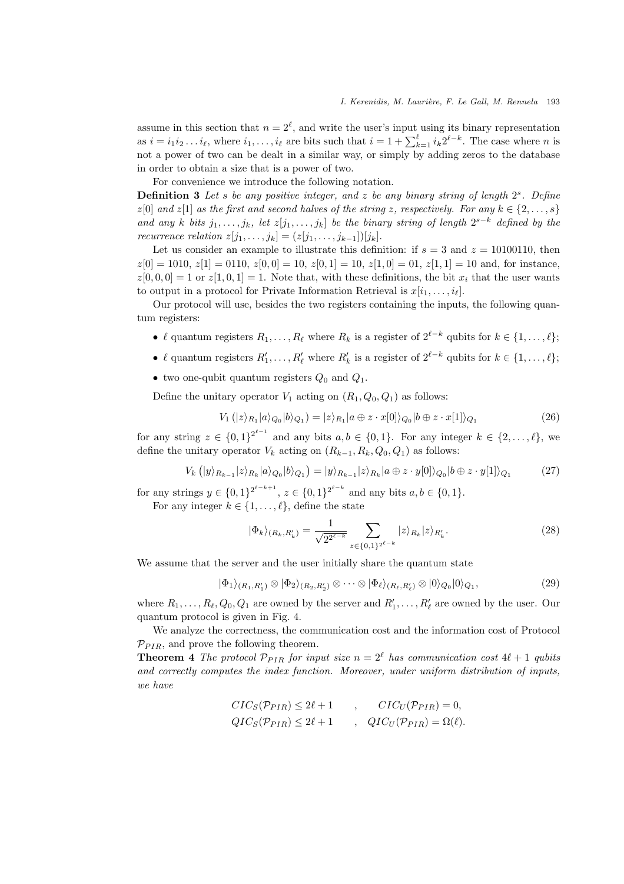assume in this section that  $n = 2^{\ell}$ , and write the user's input using its binary representation as  $i = i_1 i_2 \dots i_\ell$ , where  $i_1, \dots, i_\ell$  are bits such that  $i = 1 + \sum_{k=1}^\ell i_k 2^{\ell-k}$ . The case where n is not a power of two can be dealt in a similar way, or simply by adding zeros to the database in order to obtain a size that is a power of two.

For convenience we introduce the following notation.

**Definition 3** Let s be any positive integer, and z be any binary string of length  $2<sup>s</sup>$ . Define  $z[0]$  and  $z[1]$  as the first and second halves of the string z, respectively. For any  $k \in \{2, \ldots, s\}$ and any k bits  $j_1, \ldots, j_k$ , let  $z[j_1, \ldots, j_k]$  be the binary string of length  $2^{s-k}$  defined by the recurrence relation  $z[j_1, \ldots, j_k] = (z[j_1, \ldots, j_{k-1}])[j_k].$ 

Let us consider an example to illustrate this definition: if  $s = 3$  and  $z = 10100110$ , then  $z[0] = 1010, z[1] = 0110, z[0, 0] = 10, z[0, 1] = 10, z[1, 0] = 01, z[1, 1] = 10$  and, for instance,  $z[0, 0, 0] = 1$  or  $z[1, 0, 1] = 1$ . Note that, with these definitions, the bit  $x_i$  that the user wants to output in a protocol for Private Information Retrieval is  $x[i_1, \ldots, i_\ell]$ .

Our protocol will use, besides the two registers containing the inputs, the following quantum registers:

- $\ell$  quantum registers  $R_1, \ldots, R_\ell$  where  $R_k$  is a register of  $2^{\ell-k}$  qubits for  $k \in \{1, \ldots, \ell\}$ ;
- $\ell$  quantum registers  $R'_1, \ldots, R'_{\ell}$  where  $R'_k$  is a register of  $2^{\ell-k}$  qubits for  $k \in \{1, \ldots, \ell\};$
- two one-qubit quantum registers  $Q_0$  and  $Q_1$ .

Define the unitary operator  $V_1$  acting on  $(R_1, Q_0, Q_1)$  as follows:

$$
V_1(|z\rangle_{R_1}|a\rangle_{Q_0}|b\rangle_{Q_1}) = |z\rangle_{R_1}|a \oplus z \cdot x[0]\rangle_{Q_0}|b \oplus z \cdot x[1]\rangle_{Q_1}
$$
\n(26)

for any string  $z \in \{0,1\}^{2^{\ell-1}}$  and any bits  $a, b \in \{0,1\}$ . For any integer  $k \in \{2,\ldots,\ell\}$ , we define the unitary operator  $V_k$  acting on  $(R_{k-1}, R_k, Q_0, Q_1)$  as follows:

$$
V_k(|y\rangle_{R_{k-1}}|z\rangle_{R_k}|a\rangle_{Q_0}|b\rangle_{Q_1}) = |y\rangle_{R_{k-1}}|z\rangle_{R_k}|a \oplus z \cdot y[0]\rangle_{Q_0}|b \oplus z \cdot y[1]\rangle_{Q_1}
$$
 (27)

for any strings  $y \in \{0,1\}^{2^{\ell-k+1}}, z \in \{0,1\}^{2^{\ell-k}}$  and any bits  $a, b \in \{0,1\}.$ For any integer  $k \in \{1, \ldots, \ell\}$ , define the state

$$
|\Phi_k\rangle_{(R_k, R'_k)} = \frac{1}{\sqrt{2^{2^{\ell-k}}}} \sum_{z \in \{0,1\}^{2^{\ell-k}}} |z\rangle_{R_k} |z\rangle_{R'_k}.
$$
 (28)

We assume that the server and the user initially share the quantum state

$$
|\Phi_1\rangle_{(R_1,R'_1)} \otimes |\Phi_2\rangle_{(R_2,R'_2)} \otimes \cdots \otimes |\Phi_\ell\rangle_{(R_\ell,R'_\ell)} \otimes |0\rangle_{Q_0}|0\rangle_{Q_1},\tag{29}
$$

where  $R_1, \ldots, R_\ell, Q_0, Q_1$  are owned by the server and  $R'_1, \ldots, R'_\ell$  are owned by the user. Our quantum protocol is given in Fig. 4.

We analyze the correctness, the communication cost and the information cost of Protocol  $\mathcal{P}_{PIR}$ , and prove the following theorem.

**Theorem 4** The protocol  $\mathcal{P}_{PIR}$  for input size  $n = 2^{\ell}$  has communication cost  $4\ell + 1$  qubits and correctly computes the index function. Moreover, under uniform distribution of inputs, we have

$$
CIC_S(\mathcal{P}_{PIR}) \le 2\ell + 1 \qquad , \qquad CIC_U(\mathcal{P}_{PIR}) = 0,
$$
  
\n
$$
QIC_S(\mathcal{P}_{PIR}) \le 2\ell + 1 \qquad , \quad QIC_U(\mathcal{P}_{PIR}) = \Omega(\ell).
$$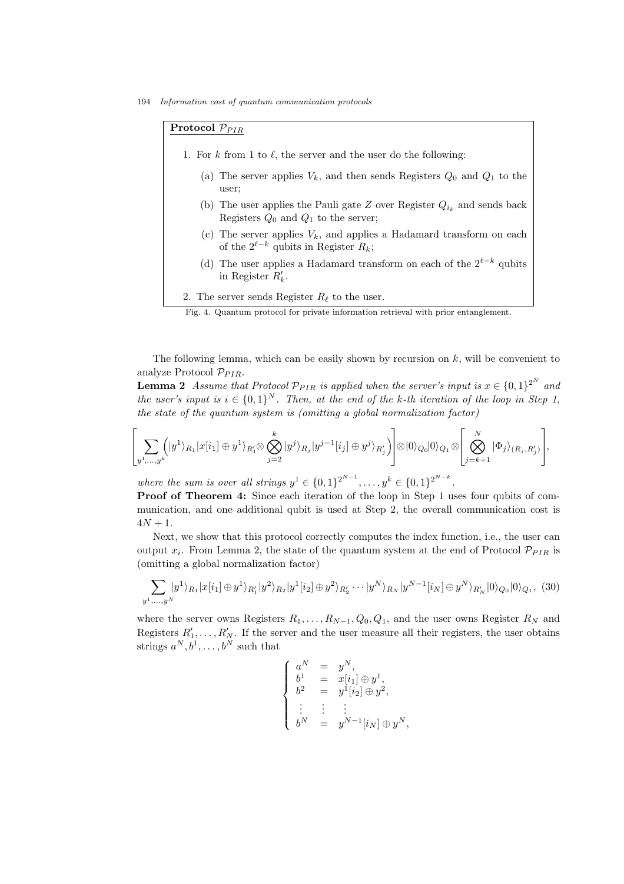194 Information cost of quantum communication protocols

Protocol  $\mathcal{P}_{PIR}$ 

- 1. For k from 1 to  $\ell$ , the server and the user do the following:
	- (a) The server applies  $V_k$ , and then sends Registers  $Q_0$  and  $Q_1$  to the user;
	- (b) The user applies the Pauli gate Z over Register  $Q_{i_k}$  and sends back Registers  $Q_0$  and  $Q_1$  to the server;
	- (c) The server applies  $V_k$ , and applies a Hadamard transform on each of the  $2^{\ell-k}$  qubits in Register  $R_k$ ;
	- (d) The user applies a Hadamard transform on each of the  $2^{\ell-k}$  qubits in Register  $R'_{k}$ .
- 2. The server sends Register  $R_{\ell}$  to the user.

Fig. 4. Quantum protocol for private information retrieval with prior entanglement.

The following lemma, which can be easily shown by recursion on  $k$ , will be convenient to analyze Protocol  $\mathcal{P}_{PIR}$ .

**Lemma 2** Assume that Protocol  $\mathcal{P}_{PIR}$  is applied when the server's input is  $x \in \{0,1\}^{2^N}$  and the user's input is  $i \in \{0,1\}^N$ . Then, at the end of the k-th iteration of the loop in Step 1, the state of the quantum system is (omitting a global normalization factor)

$$
\left[\sum_{y^1,\ldots,y^k} (|y^1\rangle_{R_1}|x[i_1] \oplus y^1\rangle_{R'_1} \otimes \bigotimes_{j=2}^k |y^j\rangle_{R_j}|y^{j-1}[i_j] \oplus y^j\rangle_{R'_j}\right] \otimes |0\rangle_{Q_0}|0\rangle_{Q_1} \otimes \left[\bigotimes_{j=k+1}^N |\Phi_j\rangle_{(R_j,R'_j)}\right],
$$

where the sum is over all strings  $y^1 \in \{0,1\}^{2^{N-1}}, \ldots, y^k \in \{0,1\}^{2^{N-k}}$ .

Proof of Theorem 4: Since each iteration of the loop in Step 1 uses four qubits of communication, and one additional qubit is used at Step 2, the overall communication cost is  $4N + 1$ .

Next, we show that this protocol correctly computes the index function, i.e., the user can output  $x_i$ . From Lemma 2, the state of the quantum system at the end of Protocol  $\mathcal{P}_{PIR}$  is (omitting a global normalization factor)

$$
\sum_{y^1,\dots,y^N} |y^1\rangle_{R_1}|x[i_1] \oplus y^1\rangle_{R'_1}|y^2\rangle_{R_2}|y^1[i_2] \oplus y^2\rangle_{R'_2}\cdots|y^N\rangle_{R_N}|y^{N-1}[i_N] \oplus y^N\rangle_{R'_N}|0\rangle_{Q_0}|0\rangle_{Q_1}, (30)
$$

where the server owns Registers  $R_1, \ldots, R_{N-1}, Q_0, Q_1$ , and the user owns Register  $R_N$  and Registers  $R'_1, \ldots, R'_N$ . If the server and the user measure all their registers, the user obtains strings  $a^N, b^1, \ldots, b^N$  such that

$$
\left\{ \begin{array}{rcl} a^N & = & y^N, \\ b^1 & = & x[i_1] \oplus y^1, \\ b^2 & = & y^1[i_2] \oplus y^2, \\ \vdots & \vdots & \vdots \\ b^N & = & y^{N-1}[i_N] \oplus y^N, \end{array} \right.
$$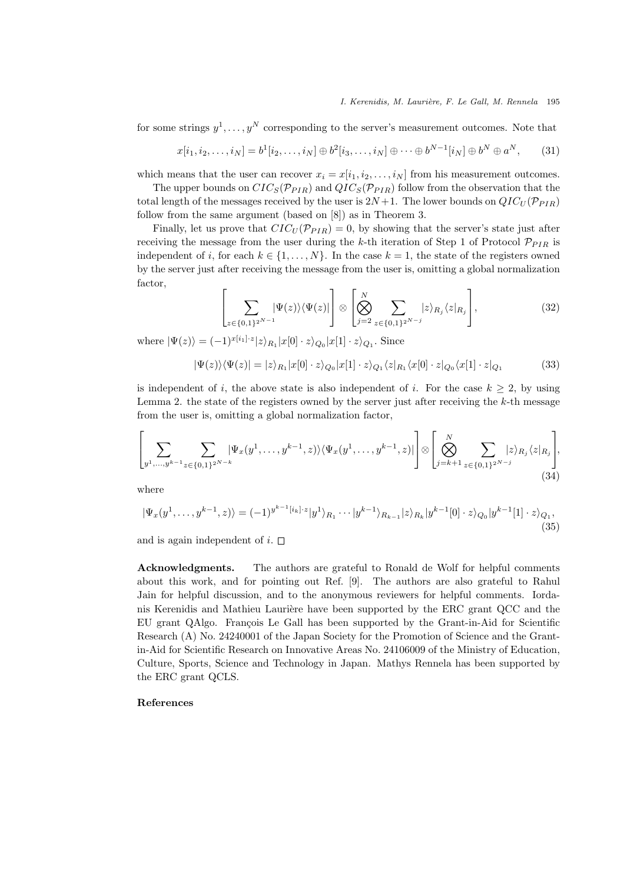for some strings  $y^1, \ldots, y^N$  corresponding to the server's measurement outcomes. Note that

$$
x[i_1, i_2, \dots, i_N] = b^1[i_2, \dots, i_N] \oplus b^2[i_3, \dots, i_N] \oplus \dots \oplus b^{N-1}[i_N] \oplus b^N \oplus a^N, \quad (31)
$$

which means that the user can recover  $x_i = x[i_1, i_2, \ldots, i_N]$  from his measurement outcomes.

The upper bounds on  $CIC_S(\mathcal{P}_{PIR})$  and  $QIC_S(\mathcal{P}_{PIR})$  follow from the observation that the total length of the messages received by the user is  $2N+1$ . The lower bounds on  $QIC_U(\mathcal{P}_{PIR})$ follow from the same argument (based on [8]) as in Theorem 3.

Finally, let us prove that  $CIC_U(\mathcal{P}_{PIR}) = 0$ , by showing that the server's state just after receiving the message from the user during the k-th iteration of Step 1 of Protocol  $\mathcal{P}_{PIR}$  is independent of i, for each  $k \in \{1, \ldots, N\}$ . In the case  $k = 1$ , the state of the registers owned by the server just after receiving the message from the user is, omitting a global normalization factor,

$$
\left[\sum_{z\in\{0,1\}^{2^{N-1}}} |\Psi(z)\rangle\langle\Psi(z)|\right] \otimes \left[\bigotimes_{j=2}^{N} \sum_{z\in\{0,1\}^{2^{N-j}}} |z\rangle_{R_j}\langle z|_{R_j}\right],\tag{32}
$$

where  $|\Psi(z)\rangle = (-1)^{x[i_1] \cdot z} |z\rangle_{R_1}|x[0] \cdot z\rangle_{Q_0}|x[1] \cdot z\rangle_{Q_1}$ . Since

$$
|\Psi(z)\rangle\langle\Psi(z)|=|z\rangle_{R_1}|x[0]\cdot z\rangle_{Q_0}|x[1]\cdot z\rangle_{Q_1}\langle z|_{R_1}\langle x[0]\cdot z|_{Q_0}\langle x[1]\cdot z|_{Q_1}\tag{33}
$$

is independent of i, the above state is also independent of i. For the case  $k \geq 2$ , by using Lemma 2. the state of the registers owned by the server just after receiving the  $k$ -th message from the user is, omitting a global normalization factor,

 X y1,...,yk−<sup>1</sup> X <sup>z</sup>∈{0,1}2N−<sup>k</sup> |Ψx(y 1 , . . . , y<sup>k</sup>−<sup>1</sup> , z)ihΨx(y 1 , . . . , y<sup>k</sup>−<sup>1</sup> , z)| ⊗ <sup>O</sup> N j=k+1 X <sup>z</sup>∈{0,1}2N−<sup>j</sup> |ziR<sup>j</sup> hz|R<sup>j</sup> , (34)

where

$$
|\Psi_x(y^1,\ldots,y^{k-1},z)\rangle = (-1)^{y^{k-1}[i_k]\cdot z}|y^1\rangle_{R_1}\cdots|y^{k-1}\rangle_{R_{k-1}}|z\rangle_{R_k}|y^{k-1}[0]\cdot z\rangle_{Q_0}|y^{k-1}[1]\cdot z\rangle_{Q_1},\tag{35}
$$

and is again independent of  $i$ .  $\square$ 

Acknowledgments. The authors are grateful to Ronald de Wolf for helpful comments about this work, and for pointing out Ref. [9]. The authors are also grateful to Rahul Jain for helpful discussion, and to the anonymous reviewers for helpful comments. Iordanis Kerenidis and Mathieu Laurière have been supported by the ERC grant QCC and the EU grant QAlgo. François Le Gall has been supported by the Grant-in-Aid for Scientific Research (A) No. 24240001 of the Japan Society for the Promotion of Science and the Grantin-Aid for Scientific Research on Innovative Areas No. 24106009 of the Ministry of Education, Culture, Sports, Science and Technology in Japan. Mathys Rennela has been supported by the ERC grant QCLS.

#### References